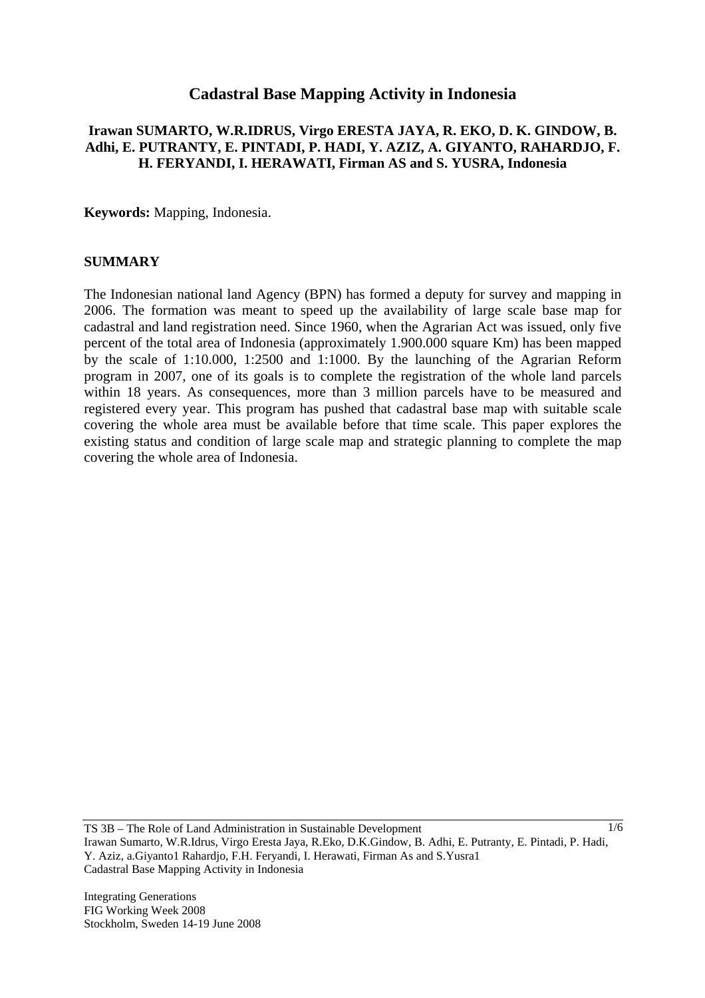# **Cadastral Base Mapping Activity in Indonesia**

#### **Irawan SUMARTO, W.R.IDRUS, Virgo ERESTA JAYA, R. EKO, D. K. GINDOW, B. Adhi, E. PUTRANTY, E. PINTADI, P. HADI, Y. AZIZ, A. GIYANTO, RAHARDJO, F. H. FERYANDI, I. HERAWATI, Firman AS and S. YUSRA, Indonesia**

**Keywords:** Mapping, Indonesia.

#### **SUMMARY**

The Indonesian national land Agency (BPN) has formed a deputy for survey and mapping in 2006. The formation was meant to speed up the availability of large scale base map for cadastral and land registration need. Since 1960, when the Agrarian Act was issued, only five percent of the total area of Indonesia (approximately 1.900.000 square Km) has been mapped by the scale of 1:10.000, 1:2500 and 1:1000. By the launching of the Agrarian Reform program in 2007, one of its goals is to complete the registration of the whole land parcels within 18 years. As consequences, more than 3 million parcels have to be measured and registered every year. This program has pushed that cadastral base map with suitable scale covering the whole area must be available before that time scale. This paper explores the existing status and condition of large scale map and strategic planning to complete the map covering the whole area of Indonesia.

TS 3B – The Role of Land Administration in Sustainable Development Irawan Sumarto, W.R.Idrus, Virgo Eresta Jaya, R.Eko, D.K.Gindow, B. Adhi, E. Putranty, E. Pintadi, P. Hadi, Y. Aziz, a.Giyanto1 Rahardjo, F.H. Feryandi, I. Herawati, Firman As and S.Yusra1 Cadastral Base Mapping Activity in Indonesia

Integrating Generations FIG Working Week 2008 Stockholm, Sweden 14-19 June 2008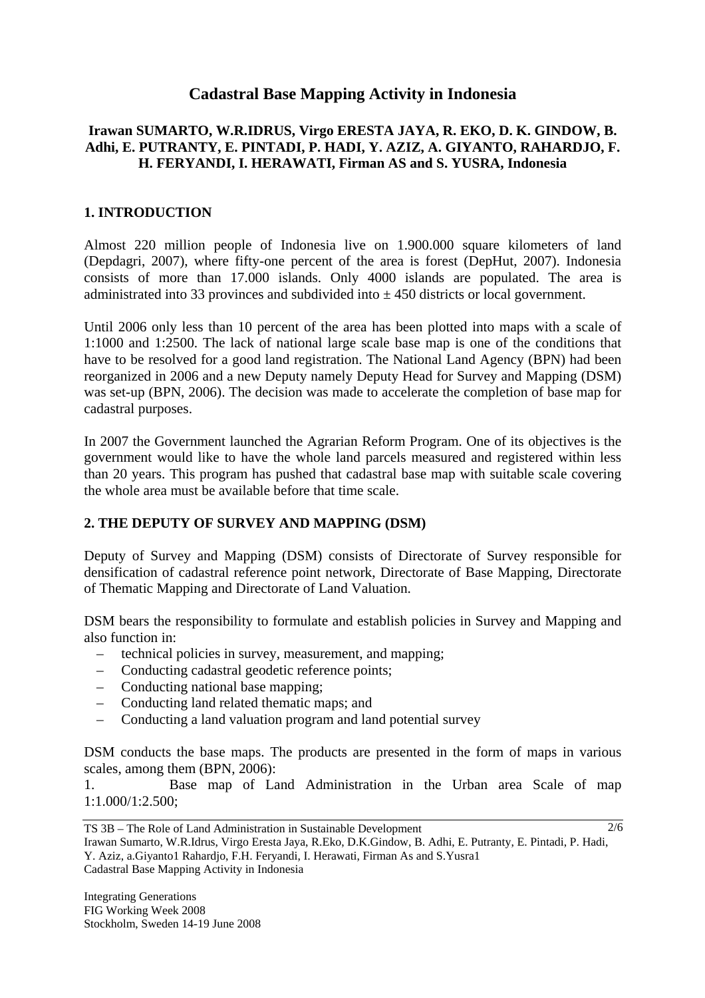# **Cadastral Base Mapping Activity in Indonesia**

### **Irawan SUMARTO, W.R.IDRUS, Virgo ERESTA JAYA, R. EKO, D. K. GINDOW, B. Adhi, E. PUTRANTY, E. PINTADI, P. HADI, Y. AZIZ, A. GIYANTO, RAHARDJO, F. H. FERYANDI, I. HERAWATI, Firman AS and S. YUSRA, Indonesia**

#### **1. INTRODUCTION**

Almost 220 million people of Indonesia live on 1.900.000 square kilometers of land (Depdagri, 2007), where fifty-one percent of the area is forest (DepHut, 2007). Indonesia consists of more than 17.000 islands. Only 4000 islands are populated. The area is administrated into 33 provinces and subdivided into  $\pm$  450 districts or local government.

Until 2006 only less than 10 percent of the area has been plotted into maps with a scale of 1:1000 and 1:2500. The lack of national large scale base map is one of the conditions that have to be resolved for a good land registration. The National Land Agency (BPN) had been reorganized in 2006 and a new Deputy namely Deputy Head for Survey and Mapping (DSM) was set-up (BPN, 2006). The decision was made to accelerate the completion of base map for cadastral purposes.

In 2007 the Government launched the Agrarian Reform Program. One of its objectives is the government would like to have the whole land parcels measured and registered within less than 20 years. This program has pushed that cadastral base map with suitable scale covering the whole area must be available before that time scale.

### **2. THE DEPUTY OF SURVEY AND MAPPING (DSM)**

Deputy of Survey and Mapping (DSM) consists of Directorate of Survey responsible for densification of cadastral reference point network, Directorate of Base Mapping, Directorate of Thematic Mapping and Directorate of Land Valuation.

DSM bears the responsibility to formulate and establish policies in Survey and Mapping and also function in:

- technical policies in survey, measurement, and mapping;
- Conducting cadastral geodetic reference points;
- Conducting national base mapping;
- Conducting land related thematic maps; and
- Conducting a land valuation program and land potential survey

DSM conducts the base maps. The products are presented in the form of maps in various scales, among them (BPN, 2006):

1. Base map of Land Administration in the Urban area Scale of map 1:1.000/1:2.500;

TS 3B – The Role of Land Administration in Sustainable Development Irawan Sumarto, W.R.Idrus, Virgo Eresta Jaya, R.Eko, D.K.Gindow, B. Adhi, E. Putranty, E. Pintadi, P. Hadi, Y. Aziz, a.Giyanto1 Rahardjo, F.H. Feryandi, I. Herawati, Firman As and S.Yusra1 Cadastral Base Mapping Activity in Indonesia 2/6

Integrating Generations FIG Working Week 2008 Stockholm, Sweden 14-19 June 2008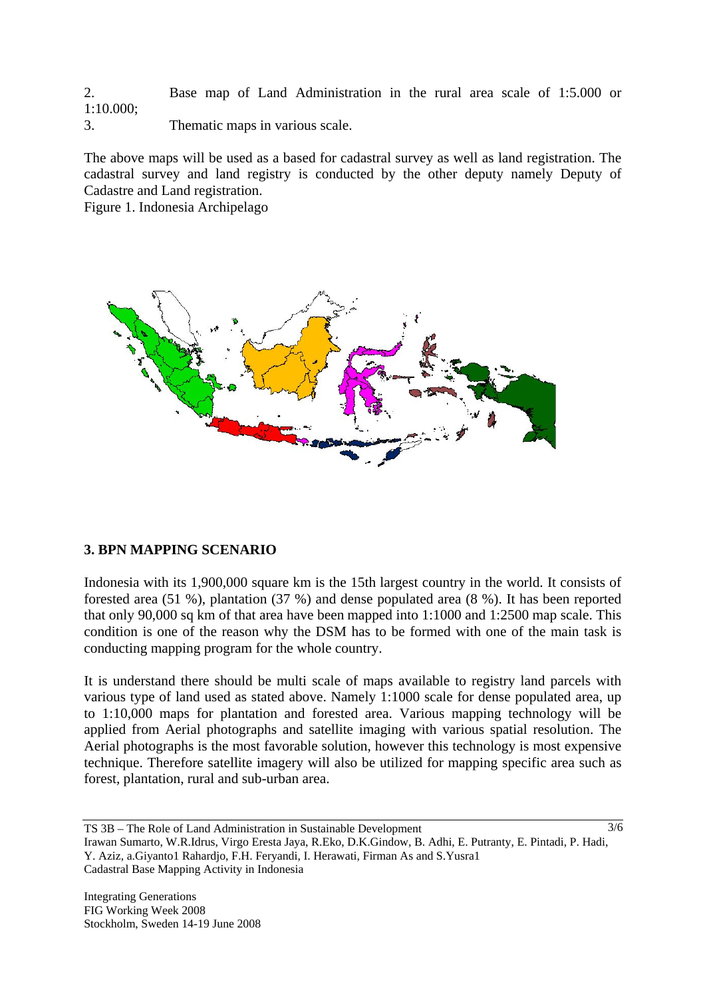2. Base map of Land Administration in the rural area scale of 1:5.000 or 1:10.000; 3. Thematic maps in various scale.

The above maps will be used as a based for cadastral survey as well as land registration. The cadastral survey and land registry is conducted by the other deputy namely Deputy of Cadastre and Land registration.

Figure 1. Indonesia Archipelago



### **3. BPN MAPPING SCENARIO**

Indonesia with its 1,900,000 square km is the 15th largest country in the world. It consists of forested area (51 %), plantation (37 %) and dense populated area (8 %). It has been reported that only 90,000 sq km of that area have been mapped into 1:1000 and 1:2500 map scale. This condition is one of the reason why the DSM has to be formed with one of the main task is conducting mapping program for the whole country.

It is understand there should be multi scale of maps available to registry land parcels with various type of land used as stated above. Namely 1:1000 scale for dense populated area, up to 1:10,000 maps for plantation and forested area. Various mapping technology will be applied from Aerial photographs and satellite imaging with various spatial resolution. The Aerial photographs is the most favorable solution, however this technology is most expensive technique. Therefore satellite imagery will also be utilized for mapping specific area such as forest, plantation, rural and sub-urban area.

Irawan Sumarto, W.R.Idrus, Virgo Eresta Jaya, R.Eko, D.K.Gindow, B. Adhi, E. Putranty, E. Pintadi, P. Hadi, Y. Aziz, a.Giyanto1 Rahardjo, F.H. Feryandi, I. Herawati, Firman As and S.Yusra1 Cadastral Base Mapping Activity in Indonesia

TS 3B – The Role of Land Administration in Sustainable Development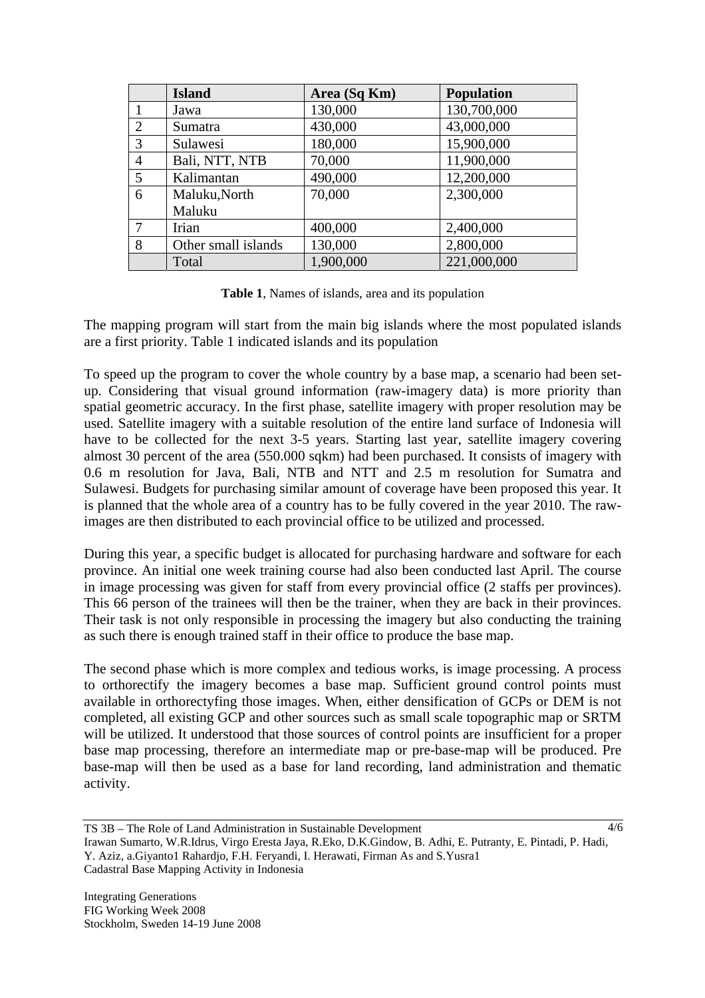|                | <b>Island</b>       | Area (Sq Km) | <b>Population</b> |
|----------------|---------------------|--------------|-------------------|
|                | Jawa                | 130,000      | 130,700,000       |
| 2              | Sumatra             | 430,000      | 43,000,000        |
| 3              | Sulawesi            | 180,000      | 15,900,000        |
| $\overline{4}$ | Bali, NTT, NTB      | 70,000       | 11,900,000        |
| 5              | Kalimantan          | 490,000      | 12,200,000        |
| 6              | Maluku, North       | 70,000       | 2,300,000         |
|                | Maluku              |              |                   |
| $\tau$         | Irian               | 400,000      | 2,400,000         |
| 8              | Other small islands | 130,000      | 2,800,000         |
|                | Total               | 1,900,000    | 221,000,000       |

**Table 1**, Names of islands, area and its population

The mapping program will start from the main big islands where the most populated islands are a first priority. Table 1 indicated islands and its population

To speed up the program to cover the whole country by a base map, a scenario had been setup. Considering that visual ground information (raw-imagery data) is more priority than spatial geometric accuracy. In the first phase, satellite imagery with proper resolution may be used. Satellite imagery with a suitable resolution of the entire land surface of Indonesia will have to be collected for the next 3-5 years. Starting last year, satellite imagery covering almost 30 percent of the area (550.000 sqkm) had been purchased. It consists of imagery with 0.6 m resolution for Java, Bali, NTB and NTT and 2.5 m resolution for Sumatra and Sulawesi. Budgets for purchasing similar amount of coverage have been proposed this year. It is planned that the whole area of a country has to be fully covered in the year 2010. The rawimages are then distributed to each provincial office to be utilized and processed.

During this year, a specific budget is allocated for purchasing hardware and software for each province. An initial one week training course had also been conducted last April. The course in image processing was given for staff from every provincial office (2 staffs per provinces). This 66 person of the trainees will then be the trainer, when they are back in their provinces. Their task is not only responsible in processing the imagery but also conducting the training as such there is enough trained staff in their office to produce the base map.

The second phase which is more complex and tedious works, is image processing. A process to orthorectify the imagery becomes a base map. Sufficient ground control points must available in orthorectyfing those images. When, either densification of GCPs or DEM is not completed, all existing GCP and other sources such as small scale topographic map or SRTM will be utilized. It understood that those sources of control points are insufficient for a proper base map processing, therefore an intermediate map or pre-base-map will be produced. Pre base-map will then be used as a base for land recording, land administration and thematic activity.

TS 3B – The Role of Land Administration in Sustainable Development

Irawan Sumarto, W.R.Idrus, Virgo Eresta Jaya, R.Eko, D.K.Gindow, B. Adhi, E. Putranty, E. Pintadi, P. Hadi, Y. Aziz, a.Giyanto1 Rahardjo, F.H. Feryandi, I. Herawati, Firman As and S.Yusra1 Cadastral Base Mapping Activity in Indonesia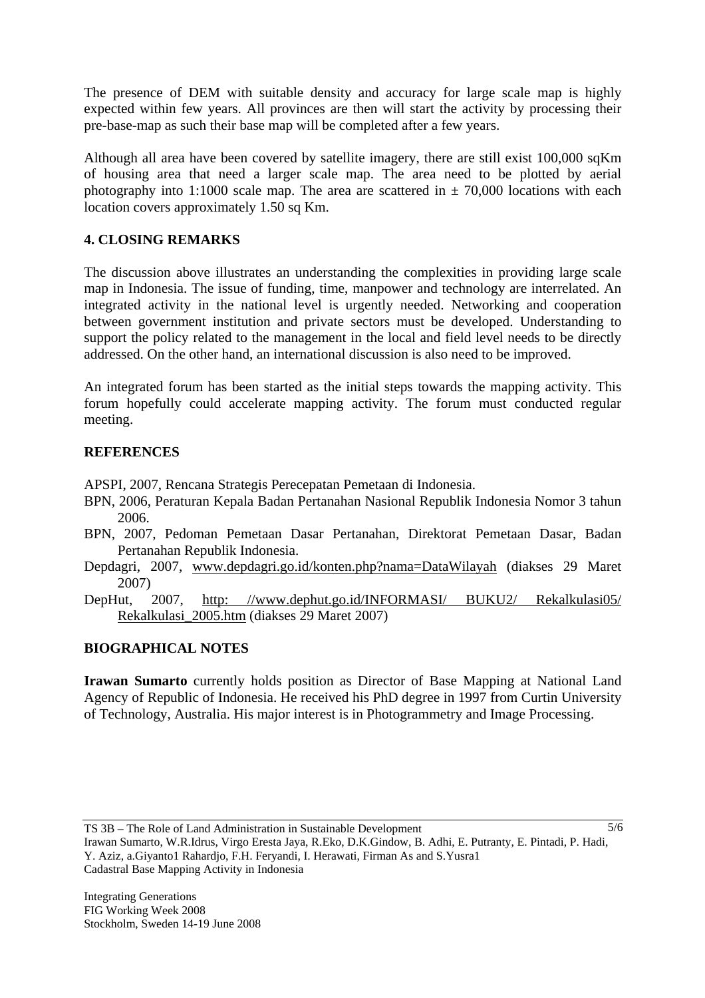The presence of DEM with suitable density and accuracy for large scale map is highly expected within few years. All provinces are then will start the activity by processing their pre-base-map as such their base map will be completed after a few years.

Although all area have been covered by satellite imagery, there are still exist 100,000 sqKm of housing area that need a larger scale map. The area need to be plotted by aerial photography into 1:1000 scale map. The area are scattered in  $\pm$  70,000 locations with each location covers approximately 1.50 sq Km.

# **4. CLOSING REMARKS**

The discussion above illustrates an understanding the complexities in providing large scale map in Indonesia. The issue of funding, time, manpower and technology are interrelated. An integrated activity in the national level is urgently needed. Networking and cooperation between government institution and private sectors must be developed. Understanding to support the policy related to the management in the local and field level needs to be directly addressed. On the other hand, an international discussion is also need to be improved.

An integrated forum has been started as the initial steps towards the mapping activity. This forum hopefully could accelerate mapping activity. The forum must conducted regular meeting.

## **REFERENCES**

APSPI, 2007, Rencana Strategis Perecepatan Pemetaan di Indonesia.

- BPN, 2006, Peraturan Kepala Badan Pertanahan Nasional Republik Indonesia Nomor 3 tahun 2006.
- BPN, 2007, Pedoman Pemetaan Dasar Pertanahan, Direktorat Pemetaan Dasar, Badan Pertanahan Republik Indonesia.
- Depdagri, 2007, www.depdagri.go.id/konten.php?nama=DataWilayah (diakses 29 Maret 2007)
- DepHut, 2007, http: //www.dephut.go.id/INFORMASI/ BUKU2/ Rekalkulasi05/ Rekalkulasi\_2005.htm (diakses 29 Maret 2007)

# **BIOGRAPHICAL NOTES**

**Irawan Sumarto** currently holds position as Director of Base Mapping at National Land Agency of Republic of Indonesia. He received his PhD degree in 1997 from Curtin University of Technology, Australia. His major interest is in Photogrammetry and Image Processing.

TS 3B – The Role of Land Administration in Sustainable Development

Irawan Sumarto, W.R.Idrus, Virgo Eresta Jaya, R.Eko, D.K.Gindow, B. Adhi, E. Putranty, E. Pintadi, P. Hadi, Y. Aziz, a.Giyanto1 Rahardjo, F.H. Feryandi, I. Herawati, Firman As and S.Yusra1 Cadastral Base Mapping Activity in Indonesia